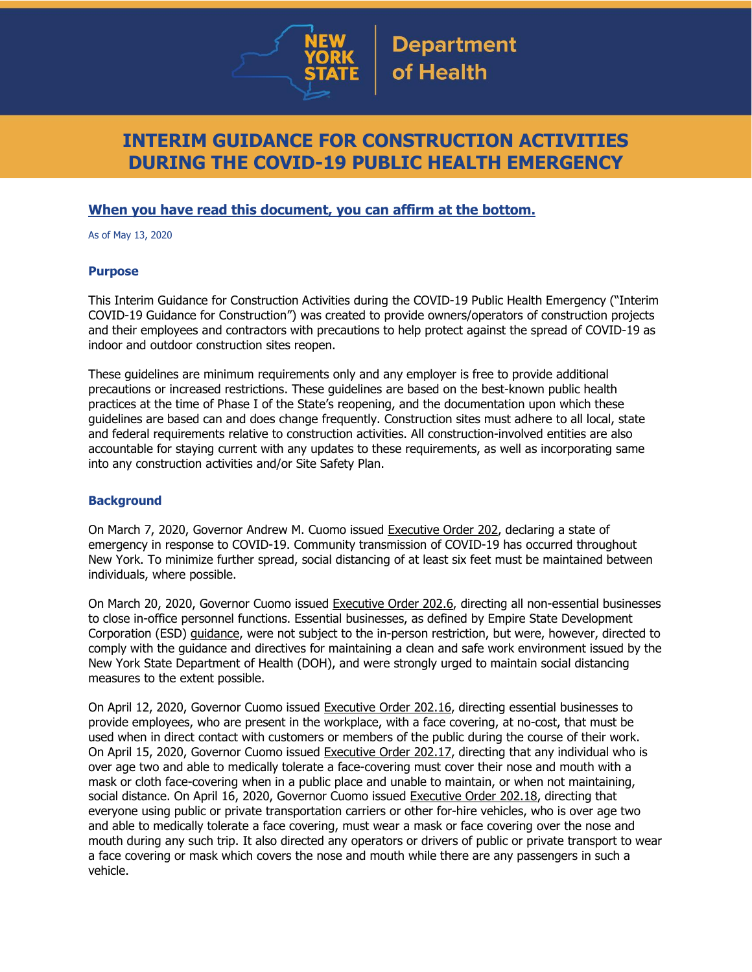

# **INTERIM GUIDANCE FOR CONSTRUCTION ACTIVITIES DURING THE COVID-19 PUBLIC HEALTH EMERGENCY**

### **When you have read this document, you can affirm at the bottom.**

As of May 13, 2020

#### **Purpose**

This Interim Guidance for Construction Activities during the COVID-19 Public Health Emergency ("Interim COVID-19 Guidance for Construction") was created to provide owners/operators of construction projects and their employees and contractors with precautions to help protect against the spread of COVID-19 as indoor and outdoor construction sites reopen.

These guidelines are minimum requirements only and any employer is free to provide additional precautions or increased restrictions. These guidelines are based on the best-known public health practices at the time of Phase I of the State's reopening, and the documentation upon which these guidelines are based can and does change frequently. Construction sites must adhere to all local, state and federal requirements relative to construction activities. All construction-involved entities are also accountable for staying current with any updates to these requirements, as well as incorporating same into any construction activities and/or Site Safety Plan.

#### **Background**

On March 7, 2020, Governor Andrew M. Cuomo issued [Executive](https://www.governor.ny.gov/news/no-202-declaring-disaster-emergency-state-new-york) Order 202, declaring a state of emergency in response to COVID-19. Community transmission of COVID-19 has occurred throughout New York. To minimize further spread, social distancing of at least six feet must be maintained between individuals, where possible.

On March 20, 2020, Governor Cuomo issued [Executive](https://www.governor.ny.gov/news/no-2026-continuing-temporary-suspension-and-modification-laws-relating-disaster-emergency) Order 202.6, directing all non-essential businesses to close in-office personnel functions. Essential businesses, as defined by Empire State Development Corporation (ESD) [guidance,](https://esd.ny.gov/guidance-executive-order-2026) were not subject to the in-person restriction, but were, however, directed to comply with the guidance and directives for maintaining a clean and safe work environment issued by the New York State Department of Health (DOH), and were strongly urged to maintain social distancing measures to the extent possible.

On April 12, 2020, Governor Cuomo issued [Executive](https://www.governor.ny.gov/news/no-20216-continuing-temporary-suspension-and-modification-laws-relating-disaster-emergency) Order 202.16, directing essential businesses to provide employees, who are present in the workplace, with a face covering, at no-cost, that must be used when in direct contact with customers or members of the public during the course of their work. On April 15, 2020, Governor Cuomo issued [Executive](https://www.governor.ny.gov/news/no-20217-continuing-temporary-suspension-and-modification-laws-relating-disaster-emergency) Order 202.17, directing that any individual who is over age two and able to medically tolerate a face-covering must cover their nose and mouth with a mask or cloth face-covering when in a public place and unable to maintain, or when not maintaining, social distance. On April 16, 2020, Governor Cuomo issued [Executive](https://www.governor.ny.gov/news/no-20218-continuing-temporary-suspension-and-modification-laws-relating-disaster-emergency) Order 202.18, directing that everyone using public or private transportation carriers or other for-hire vehicles, who is over age two and able to medically tolerate a face covering, must wear a mask or face covering over the nose and mouth during any such trip. It also directed any operators or drivers of public or private transport to wear a face covering or mask which covers the nose and mouth while there are any passengers in such a vehicle.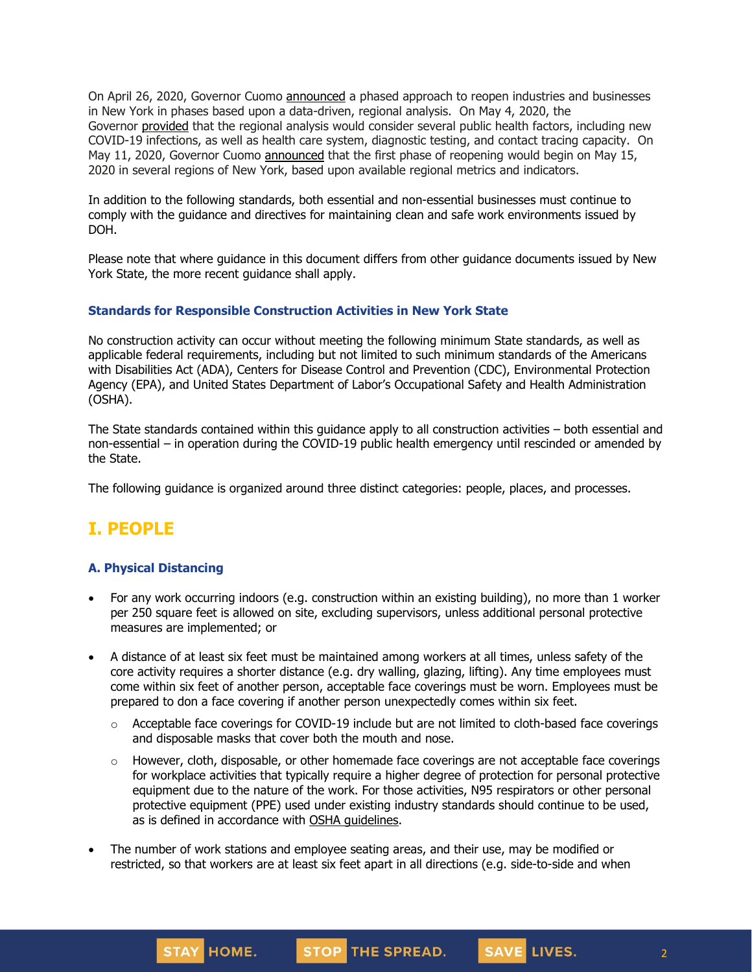On April 26, 2020, Governor Cuomo [announced](https://www.governor.ny.gov/news/amid-ongoing-covid-19-pandemic-governor-cuomo-outlines-phased-plan-re-open-new-york-starting) a phased approach to reopen industries and businesses in New York in phases based upon a data-driven, regional analysis. On May 4, 2020, the Governor [provided](https://www.governor.ny.gov/news/amid-ongoing-covid-19-pandemic-governor-cuomo-outlines-additional-guidelines-when-regions-can) that the regional analysis would consider several public health factors, including new COVID-19 infections, as well as health care system, diagnostic testing, and contact tracing capacity. On May 11, 2020, Governor Cuomo [announced](https://www.governor.ny.gov/news/amid-ongoing-covid-19-pandemic-governor-cuomo-announces-three-regions-new-york-state-ready) that the first phase of reopening would begin on May 15, 2020 in several regions of New York, based upon available regional metrics and indicators.

In addition to the following standards, both essential and non-essential businesses must continue to comply with the guidance and directives for maintaining clean and safe work environments issued by DOH.

Please note that where guidance in this document differs from other guidance documents issued by New York State, the more recent guidance shall apply.

#### **Standards for Responsible Construction Activities in New York State**

No construction activity can occur without meeting the following minimum State standards, as well as applicable federal requirements, including but not limited to such minimum standards of the Americans with Disabilities Act (ADA), Centers for Disease Control and Prevention (CDC), Environmental Protection Agency (EPA), and United States Department of Labor's Occupational Safety and Health Administration (OSHA).

The State standards contained within this guidance apply to all construction activities – both essential and non-essential – in operation during the COVID-19 public health emergency until rescinded or amended by the State.

The following guidance is organized around three distinct categories: people, places, and processes.

# **I. PEOPLE**

#### **A. Physical Distancing**

STAY HOME.

- For any work occurring indoors (e.g. construction within an existing building), no more than 1 worker per 250 square feet is allowed on site, excluding supervisors, unless additional personal protective measures are implemented; or
- A distance of at least six feet must be maintained among workers at all times, unless safety of the core activity requires a shorter distance (e.g. dry walling, glazing, lifting). Any time employees must come within six feet of another person, acceptable face coverings must be worn. Employees must be prepared to don a face covering if another person unexpectedly comes within six feet.
	- $\circ$  Acceptable face coverings for COVID-19 include but are not limited to cloth-based face coverings and disposable masks that cover both the mouth and nose.
	- $\circ$  However, cloth, disposable, or other homemade face coverings are not acceptable face coverings for workplace activities that typically require a higher degree of protection for personal protective equipment due to the nature of the work. For those activities, N95 respirators or other personal protective equipment (PPE) used under existing industry standards should continue to be used, as is defined in accordance with OSHA [guidelines.](https://www.osha.gov/SLTC/personalprotectiveequipment/)

STOP THE SPREAD.

2

SAVE LIVES.

The number of work stations and employee seating areas, and their use, may be modified or restricted, so that workers are at least six feet apart in all directions (e.g. side-to-side and when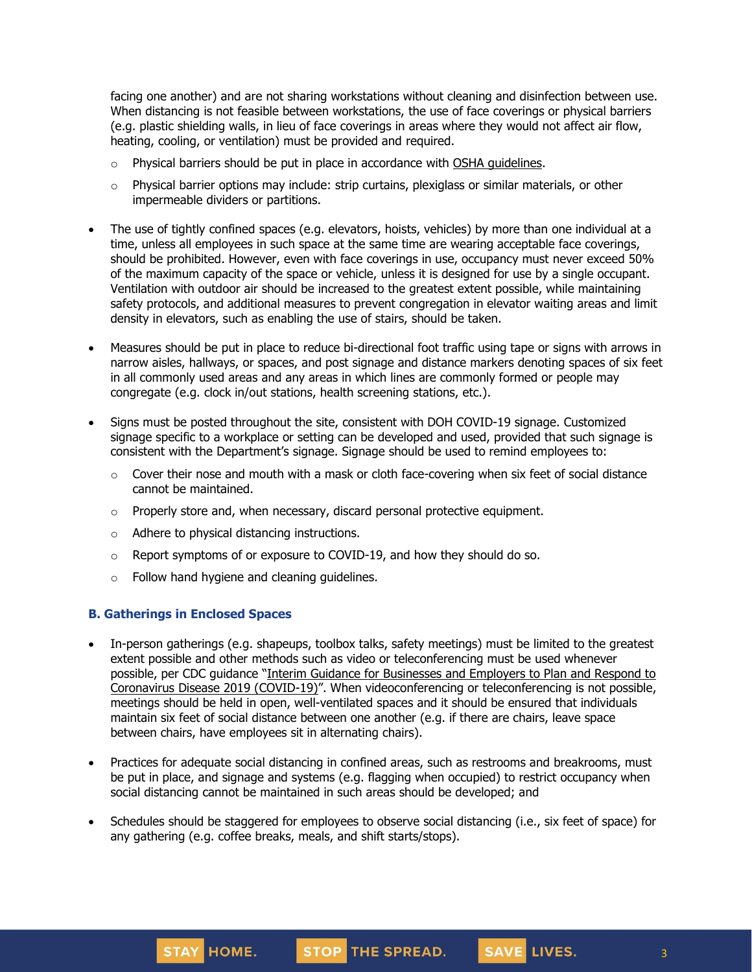facing one another) and are not sharing workstations without cleaning and disinfection between use. When distancing is not feasible between workstations, the use of face coverings or physical barriers (e.g. plastic shielding walls, in lieu of face coverings in areas where they would not affect air flow, heating, cooling, or ventilation) must be provided and required.

- o Physical barriers should be put in place in accordance with OSHA [guidelines.](https://www.osha.gov/Publications/OSHA3990.pdf)
- $\circ$  Physical barrier options may include: strip curtains, plexiglass or similar materials, or other impermeable dividers or partitions.
- The use of tightly confined spaces (e.g. elevators, hoists, vehicles) by more than one individual at a time, unless all employees in such space at the same time are wearing acceptable face coverings, should be prohibited. However, even with face coverings in use, occupancy must never exceed 50% of the maximum capacity of the space or vehicle, unless it is designed for use by a single occupant. Ventilation with outdoor air should be increased to the greatest extent possible, while maintaining safety protocols, and additional measures to prevent congregation in elevator waiting areas and limit density in elevators, such as enabling the use of stairs, should be taken.
- Measures should be put in place to reduce bi-directional foot traffic using tape or signs with arrows in narrow aisles, hallways, or spaces, and post signage and distance markers denoting spaces of six feet in all commonly used areas and any areas in which lines are commonly formed or people may congregate (e.g. clock in/out stations, health screening stations, etc.).
- Signs must be posted throughout the site, consistent with DOH COVID-19 signage. Customized signage specific to a workplace or setting can be developed and used, provided that such signage is consistent with the Department's signage. Signage should be used to remind employees to:
	- $\circ$  Cover their nose and mouth with a mask or cloth face-covering when six feet of social distance cannot be maintained.
	- $\circ$  Properly store and, when necessary, discard personal protective equipment.
	- o Adhere to physical distancing instructions.
	- o Report symptoms of or exposure to COVID-19, and how they should do so.
	- o Follow hand hygiene and cleaning guidelines.

#### **B. Gatherings in Enclosed Spaces**

- In-person gatherings (e.g. shapeups, toolbox talks, safety meetings) must be limited to the greatest extent possible and other methods such as video or teleconferencing must be used whenever possible, per CDC guidance "Interim Guidance for [Businesses](https://www.cdc.gov/coronavirus/2019-ncov/community/guidance-business-response.html) and Employers to Plan and Respond to [Coronavirus](https://www.cdc.gov/coronavirus/2019-ncov/community/guidance-business-response.html) Disease 2019 (COVID-19)". When videoconferencing or teleconferencing is not possible, meetings should be held in open, well-ventilated spaces and it should be ensured that individuals maintain six feet of social distance between one another (e.g. if there are chairs, leave space between chairs, have employees sit in alternating chairs).
- Practices for adequate social distancing in confined areas, such as restrooms and breakrooms, must be put in place, and signage and systems (e.g. flagging when occupied) to restrict occupancy when social distancing cannot be maintained in such areas should be developed; and
- Schedules should be staggered for employees to observe social distancing (i.e., six feet of space) for any gathering (e.g. coffee breaks, meals, and shift starts/stops).

SAVE LIVES.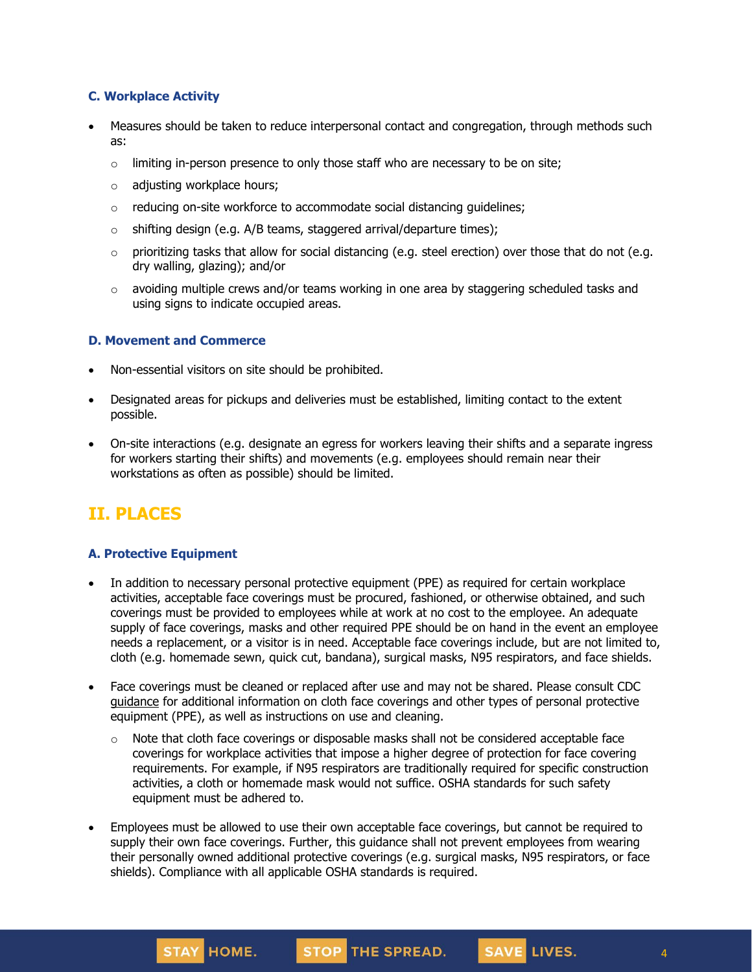#### **C. Workplace Activity**

- Measures should be taken to reduce interpersonal contact and congregation, through methods such as:
	- $\circ$  limiting in-person presence to only those staff who are necessary to be on site;
	- o adjusting workplace hours;
	- o reducing on-site workforce to accommodate social distancing guidelines;
	- $\circ$  shifting design (e.g. A/B teams, staggered arrival/departure times);
	- $\circ$  prioritizing tasks that allow for social distancing (e.g. steel erection) over those that do not (e.g. dry walling, glazing); and/or
	- $\circ$  avoiding multiple crews and/or teams working in one area by staggering scheduled tasks and using signs to indicate occupied areas.

#### **D. Movement and Commerce**

- Non-essential visitors on site should be prohibited.
- Designated areas for pickups and deliveries must be established, limiting contact to the extent possible.
- On-site interactions (e.g. designate an egress for workers leaving their shifts and a separate ingress for workers starting their shifts) and movements (e.g. employees should remain near their workstations as often as possible) should be limited.

# **II. PLACES**

#### **A. Protective Equipment**

- In addition to necessary personal protective equipment (PPE) as required for certain workplace activities, acceptable face coverings must be procured, fashioned, or otherwise obtained, and such coverings must be provided to employees while at work at no cost to the employee. An adequate supply of face coverings, masks and other required PPE should be on hand in the event an employee needs a replacement, or a visitor is in need. Acceptable face coverings include, but are not limited to, cloth (e.g. homemade sewn, quick cut, bandana), surgical masks, N95 respirators, and face shields.
- Face coverings must be cleaned or replaced after use and may not be shared. Please consult CDC [guidance](https://www.cdc.gov/coronavirus/2019-ncov/community/guidance-business-response.html) for additional information on cloth face coverings and other types of personal protective equipment (PPE), as well as instructions on use and cleaning.
	- $\circ$  Note that cloth face coverings or disposable masks shall not be considered acceptable face coverings for workplace activities that impose a higher degree of protection for face covering requirements. For example, if N95 respirators are traditionally required for specific construction activities, a cloth or homemade mask would not suffice. OSHA standards for such safety equipment must be adhered to.
- Employees must be allowed to use their own acceptable face coverings, but cannot be required to supply their own face coverings. Further, this guidance shall not prevent employees from wearing their personally owned additional protective coverings (e.g. surgical masks, N95 respirators, or face shields). Compliance with all applicable OSHA standards is required.

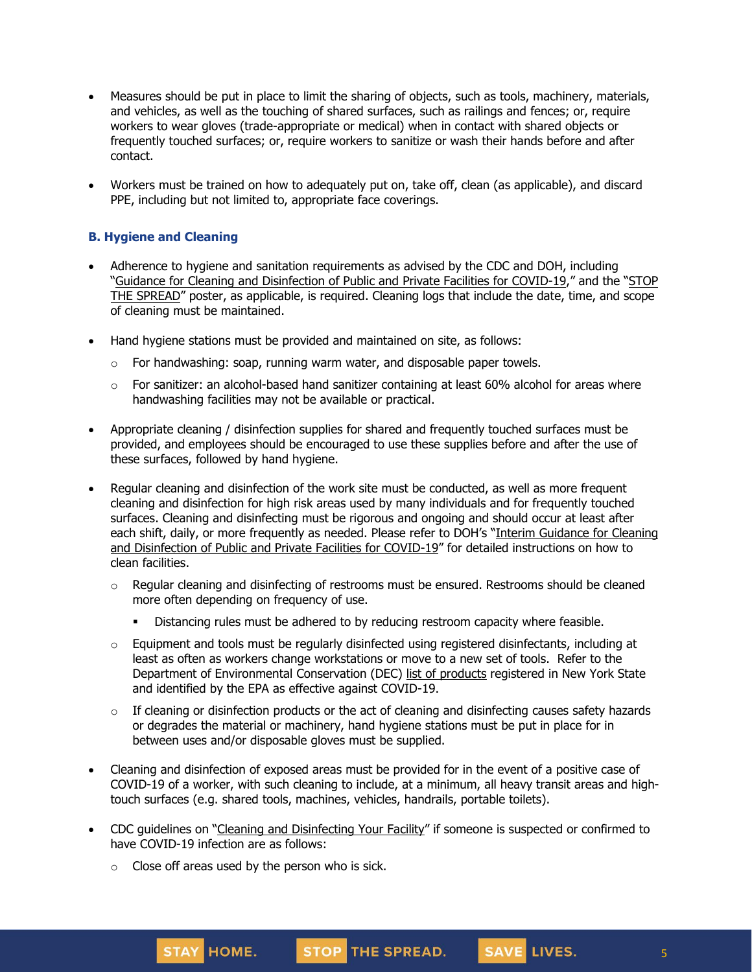- Measures should be put in place to limit the sharing of objects, such as tools, machinery, materials, and vehicles, as well as the touching of shared surfaces, such as railings and fences; or, require workers to wear gloves (trade-appropriate or medical) when in contact with shared objects or frequently touched surfaces; or, require workers to sanitize or wash their hands before and after contact.
- Workers must be trained on how to adequately put on, take off, clean (as applicable), and discard PPE, including but not limited to, appropriate face coverings.

### **B. Hygiene and Cleaning**

- Adherence to hygiene and sanitation requirements as advised by the CDC and DOH, including "Guidance for Cleaning and [Disinfection](https://coronavirus.health.ny.gov/system/files/documents/2020/03/cleaning_guidance_general_building.pdf) of Public and Private Facilities for COVID-19," and the "[STOP](https://coronavirus.health.ny.gov/system/files/documents/2020/04/13067_coronavirus_protectyourself_poster_042020.pdf) THE [SPREAD](https://coronavirus.health.ny.gov/system/files/documents/2020/04/13067_coronavirus_protectyourself_poster_042020.pdf)" poster, as applicable, is required. Cleaning logs that include the date, time, and scope of cleaning must be maintained.
- Hand hygiene stations must be provided and maintained on site, as follows:
	- $\circ$  For handwashing: soap, running warm water, and disposable paper towels.
	- $\circ$  For sanitizer: an alcohol-based hand sanitizer containing at least 60% alcohol for areas where handwashing facilities may not be available or practical.
- Appropriate cleaning / disinfection supplies for shared and frequently touched surfaces must be provided, and employees should be encouraged to use these supplies before and after the use of these surfaces, followed by hand hygiene.
- Regular cleaning and disinfection of the work site must be conducted, as well as more frequent cleaning and disinfection for high risk areas used by many individuals and for frequently touched surfaces. Cleaning and disinfecting must be rigorous and ongoing and should occur at least after each shift, daily, or more frequently as needed. Please refer to DOH's "Interim [Guidance](https://coronavirus.health.ny.gov/system/files/documents/2020/03/cleaning_guidance_general_building.pdf) for Cleaning and [Disinfection](https://coronavirus.health.ny.gov/system/files/documents/2020/03/cleaning_guidance_general_building.pdf) of Public and Private Facilities for COVID-19" for detailed instructions on how to clean facilities.
	- $\circ$  Regular cleaning and disinfecting of restrooms must be ensured. Restrooms should be cleaned more often depending on frequency of use.
		- Distancing rules must be adhered to by reducing restroom capacity where feasible.
	- $\circ$  Equipment and tools must be regularly disinfected using registered disinfectants, including at least as often as workers change workstations or move to a new set of tools. Refer to the Department of Environmental Conservation (DEC) list of [products](http://www.dec.ny.gov/docs/materials_minerals_pdf/covid19.pdf) registered in New York State and identified by the EPA as effective against COVID-19.
	- $\circ$  If cleaning or disinfection products or the act of cleaning and disinfecting causes safety hazards or degrades the material or machinery, hand hygiene stations must be put in place for in between uses and/or disposable gloves must be supplied.
- Cleaning and disinfection of exposed areas must be provided for in the event of a positive case of COVID-19 of a worker, with such cleaning to include, at a minimum, all heavy transit areas and hightouch surfaces (e.g. shared tools, machines, vehicles, handrails, portable toilets).
- CDC quidelines on "Cleaning and [Disinfecting](https://www.cdc.gov/coronavirus/2019-ncov/community/disinfecting-building-facility.html) Your Facility" if someone is suspected or confirmed to have COVID-19 infection are as follows:
	- $\circ$  Close off areas used by the person who is sick.

5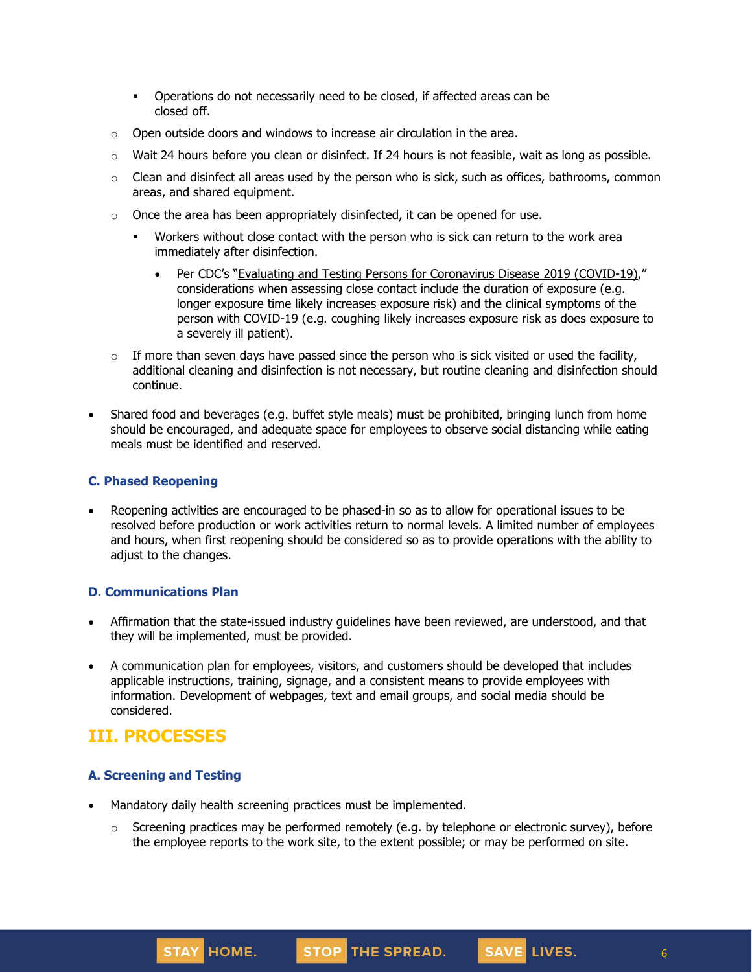- Operations do not necessarily need to be closed, if affected areas can be closed off.
- $\circ$  Open outside doors and windows to increase air circulation in the area.
- $\circ$  Wait 24 hours before you clean or disinfect. If 24 hours is not feasible, wait as long as possible.
- o Clean and disinfect all areas used by the person who is sick, such as offices, bathrooms, common areas, and shared equipment.
- $\circ$  Once the area has been appropriately disinfected, it can be opened for use.
	- Workers without close contact with the person who is sick can return to the work area immediately after disinfection.
		- Per CDC's "Evaluating and Testing Persons for [Coronavirus](https://www.cdc.gov/coronavirus/2019-ncov/hcp/clinical-criteria.html) Disease 2019 (COVID-19)," considerations when assessing close contact include the duration of exposure (e.g. longer exposure time likely increases exposure risk) and the clinical symptoms of the person with COVID-19 (e.g. coughing likely increases exposure risk as does exposure to a severely ill patient).
- $\circ$  If more than seven days have passed since the person who is sick visited or used the facility, additional cleaning and disinfection is not necessary, but routine cleaning and disinfection should continue.
- Shared food and beverages (e.g. buffet style meals) must be prohibited, bringing lunch from home should be encouraged, and adequate space for employees to observe social distancing while eating meals must be identified and reserved.

#### **C. Phased Reopening**

• Reopening activities are encouraged to be phased-in so as to allow for operational issues to be resolved before production or work activities return to normal levels. A limited number of employees and hours, when first reopening should be considered so as to provide operations with the ability to adjust to the changes.

#### **D. Communications Plan**

- Affirmation that the state-issued industry guidelines have been reviewed, are understood, and that they will be implemented, must be provided.
- A communication plan for employees, visitors, and customers should be developed that includes applicable instructions, training, signage, and a consistent means to provide employees with information. Development of webpages, text and email groups, and social media should be considered.

## **III. PROCESSES**

#### **A. Screening and Testing**

- Mandatory daily health screening practices must be implemented.
	- $\circ$  Screening practices may be performed remotely (e.g. by telephone or electronic survey), before the employee reports to the work site, to the extent possible; or may be performed on site.

SAVE LIVES.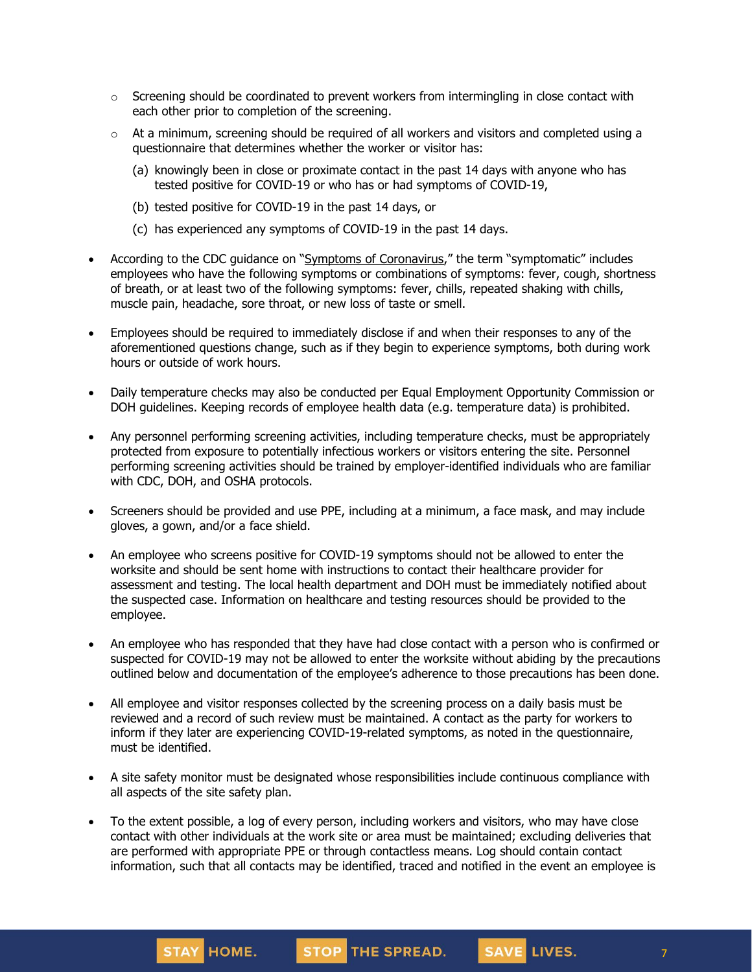- $\circ$  Screening should be coordinated to prevent workers from intermingling in close contact with each other prior to completion of the screening.
- $\circ$  At a minimum, screening should be required of all workers and visitors and completed using a questionnaire that determines whether the worker or visitor has:
	- (a) knowingly been in close or proximate contact in the past 14 days with anyone who has tested positive for COVID-19 or who has or had symptoms of COVID-19,
	- (b) tested positive for COVID-19 in the past 14 days, or
	- (c) has experienced any symptoms of COVID-19 in the past 14 days.
- According to the CDC guidance on "Symptoms of [Coronavirus](https://www.cdc.gov/coronavirus/2019-ncov/symptoms-testing/symptoms.html)," the term "symptomatic" includes employees who have the following symptoms or combinations of symptoms: fever, cough, shortness of breath, or at least two of the following symptoms: fever, chills, repeated shaking with chills, muscle pain, headache, sore throat, or new loss of taste or smell.
- Employees should be required to immediately disclose if and when their responses to any of the aforementioned questions change, such as if they begin to experience symptoms, both during work hours or outside of work hours.
- Daily temperature checks may also be conducted per Equal Employment Opportunity Commission or DOH guidelines. Keeping records of employee health data (e.g. temperature data) is prohibited.
- Any personnel performing screening activities, including temperature checks, must be appropriately protected from exposure to potentially infectious workers or visitors entering the site. Personnel performing screening activities should be trained by employer-identified individuals who are familiar with CDC, DOH, and OSHA protocols.
- Screeners should be provided and use PPE, including at a minimum, a face mask, and may include gloves, a gown, and/or a face shield.
- An employee who screens positive for COVID-19 symptoms should not be allowed to enter the worksite and should be sent home with instructions to contact their healthcare provider for assessment and testing. The local health department and DOH must be immediately notified about the suspected case. Information on healthcare and testing resources should be provided to the employee.
- An employee who has responded that they have had close contact with a person who is confirmed or suspected for COVID-19 may not be allowed to enter the worksite without abiding by the precautions outlined below and documentation of the employee's adherence to those precautions has been done.
- All employee and visitor responses collected by the screening process on a daily basis must be reviewed and a record of such review must be maintained. A contact as the party for workers to inform if they later are experiencing COVID-19-related symptoms, as noted in the questionnaire, must be identified.
- A site safety monitor must be designated whose responsibilities include continuous compliance with all aspects of the site safety plan.
- To the extent possible, a log of every person, including workers and visitors, who may have close contact with other individuals at the work site or area must be maintained; excluding deliveries that are performed with appropriate PPE or through contactless means. Log should contain contact information, such that all contacts may be identified, traced and notified in the event an employee is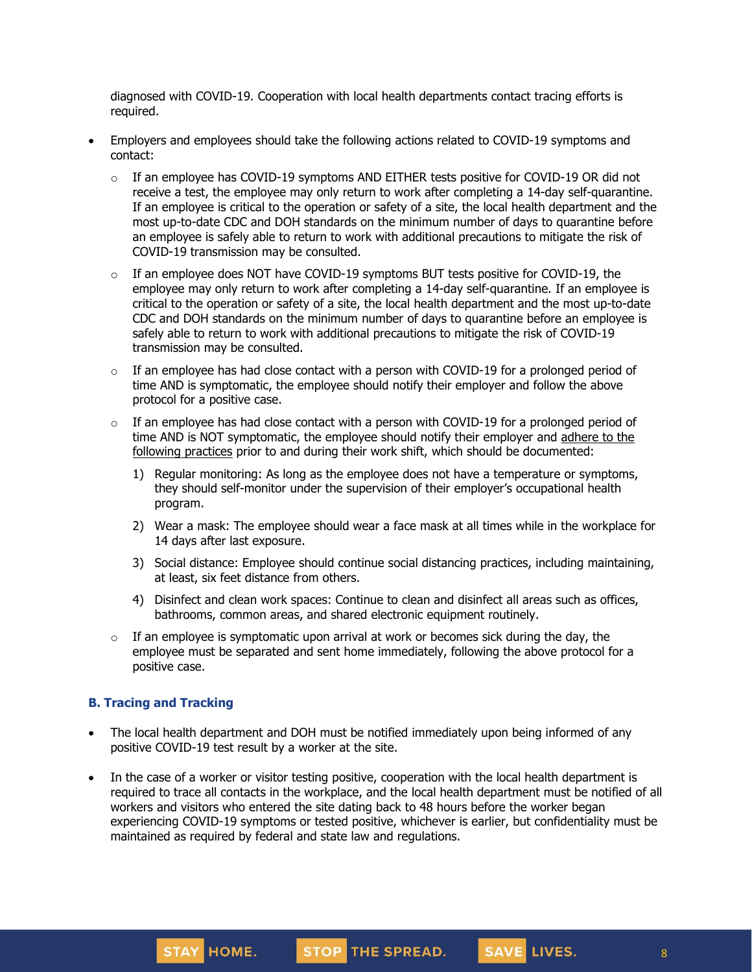diagnosed with COVID-19. Cooperation with local health departments contact tracing efforts is required.

- Employers and employees should take the following actions related to COVID-19 symptoms and contact:
	- $\circ$  If an employee has COVID-19 symptoms AND EITHER tests positive for COVID-19 OR did not receive a test, the employee may only [return](https://www.cdc.gov/coronavirus/2019-ncov/hcp/return-to-work.html) to work after completing a 14-day self-quarantine. If an employee is critical to the operation or safety of a site, the local health department and the most up-to-date CDC and DOH standards on the minimum number of days to quarantine before an employee is safely able to return to work with additional precautions to mitigate the risk of COVID-19 transmission may be consulted.
	- $\circ$  If an employee does NOT have COVID-19 symptoms BUT tests positive for COVID-19, the employee may only return to work after completing a 14-day self-quarantine. If an employee is critical to the operation or safety of a site, the local health department and the most up-to-date CDC and DOH standards on the minimum number of days to quarantine before an employee is safely able to return to work with additional precautions to mitigate the risk of COVID-19 transmission may be consulted.
	- $\circ$  If an employee has had close contact with a person with COVID-19 for a prolonged period of time AND is symptomatic, the employee should notify their employer and follow the above protocol for a positive case.
	- $\circ$  If an employee has had close contact with a person with COVID-19 for a prolonged period of time AND is NOT symptomatic, the employee should notify their employer and [adhere](https://www.cdc.gov/coronavirus/2019-ncov/community/critical-workers/implementing-safety-practices.html) to the [following](https://www.cdc.gov/coronavirus/2019-ncov/community/critical-workers/implementing-safety-practices.html) practices prior to and during their work shift, which should be documented:
		- 1) Regular monitoring: As long as the employee does not have a temperature or symptoms, they should self-monitor under the supervision of their employer's occupational health program.
		- 2) Wear a mask: The employee should wear a face mask at all times while in the workplace for 14 days after last exposure.
		- 3) Social distance: Employee should continue social distancing practices, including maintaining, at least, six feet distance from others.
		- 4) Disinfect and clean work spaces: Continue to clean and disinfect all areas such as offices, bathrooms, common areas, and shared electronic equipment routinely.
	- $\circ$  If an employee is symptomatic upon arrival at work or becomes sick during the day, the employee must be separated and sent home immediately, following the above protocol for a positive case.

#### **B. Tracing and Tracking**

- The local health department and DOH must be notified immediately upon being informed of any positive COVID-19 test result by a worker at the site.
- In the case of a worker or visitor testing positive, cooperation with the local health department is required to trace all contacts in the workplace, and the local health department must be notified of all workers and visitors who entered the site dating back to 48 hours before the worker began experiencing COVID-19 symptoms or tested positive, whichever is earlier, but confidentiality must be maintained as required by federal and state law and regulations.



STOP THE SPREAD.

SAVE LIVES.